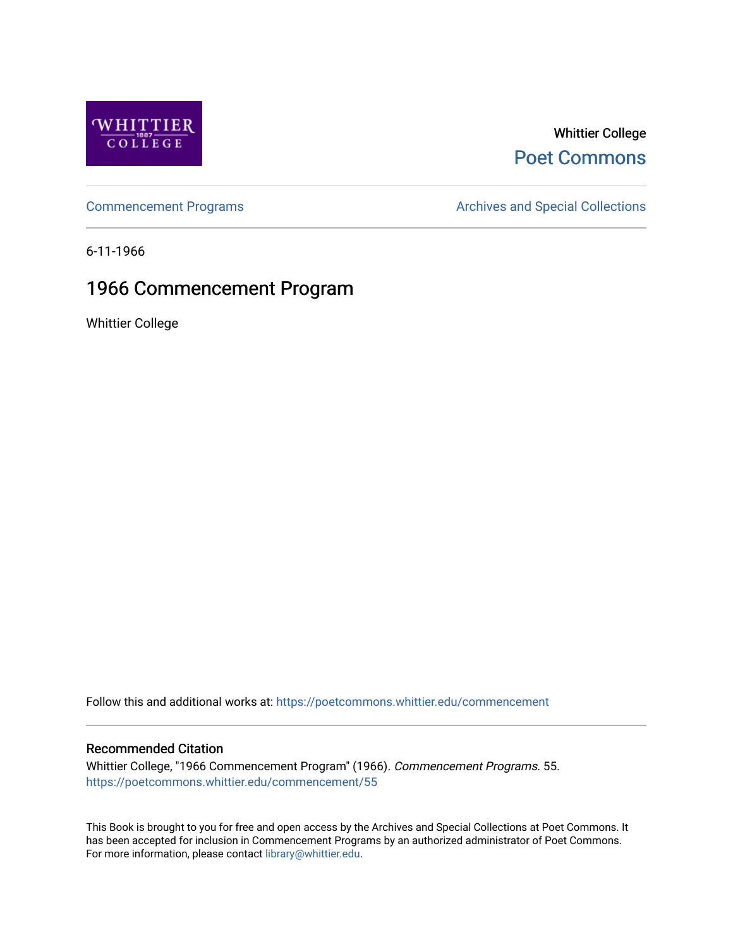

## Whittier College [Poet Commons](https://poetcommons.whittier.edu/)

[Commencement Programs](https://poetcommons.whittier.edu/commencement) **Archives and Special Collections** Archives and Special Collections

6-11-1966

## 1966 Commencement Program

Whittier College

Follow this and additional works at: [https://poetcommons.whittier.edu/commencement](https://poetcommons.whittier.edu/commencement?utm_source=poetcommons.whittier.edu%2Fcommencement%2F55&utm_medium=PDF&utm_campaign=PDFCoverPages) 

### Recommended Citation

Whittier College, "1966 Commencement Program" (1966). Commencement Programs. 55. [https://poetcommons.whittier.edu/commencement/55](https://poetcommons.whittier.edu/commencement/55?utm_source=poetcommons.whittier.edu%2Fcommencement%2F55&utm_medium=PDF&utm_campaign=PDFCoverPages)

This Book is brought to you for free and open access by the Archives and Special Collections at Poet Commons. It has been accepted for inclusion in Commencement Programs by an authorized administrator of Poet Commons. For more information, please contact [library@whittier.edu.](mailto:library@whittier.edu)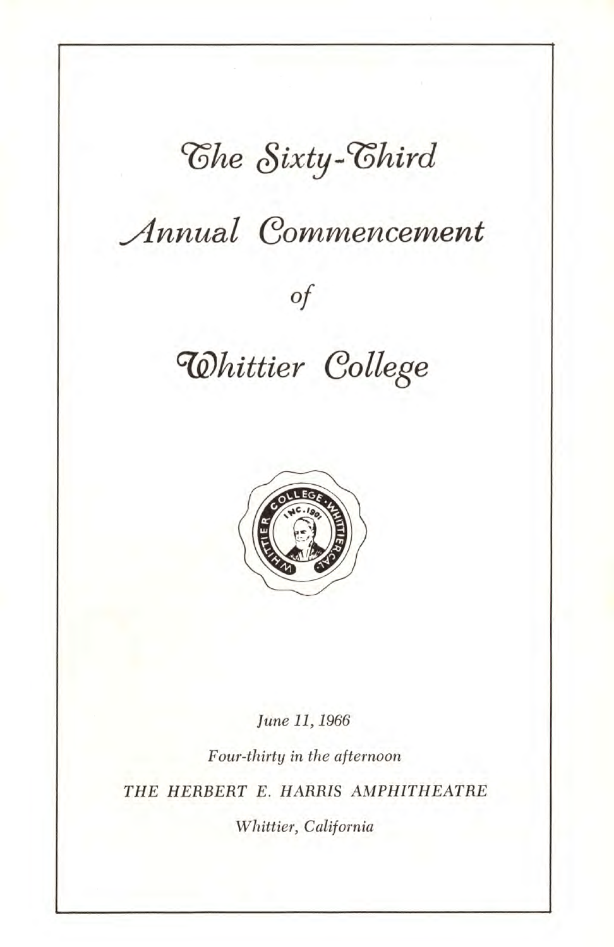# The Sixty-Chird

# Annual Commencement

## Of

## Q)hittier College



June 11, 1966

Four-thirty in the afternoon THE HERBERT E. HARRIS AMPHITHEATRE Whittier, California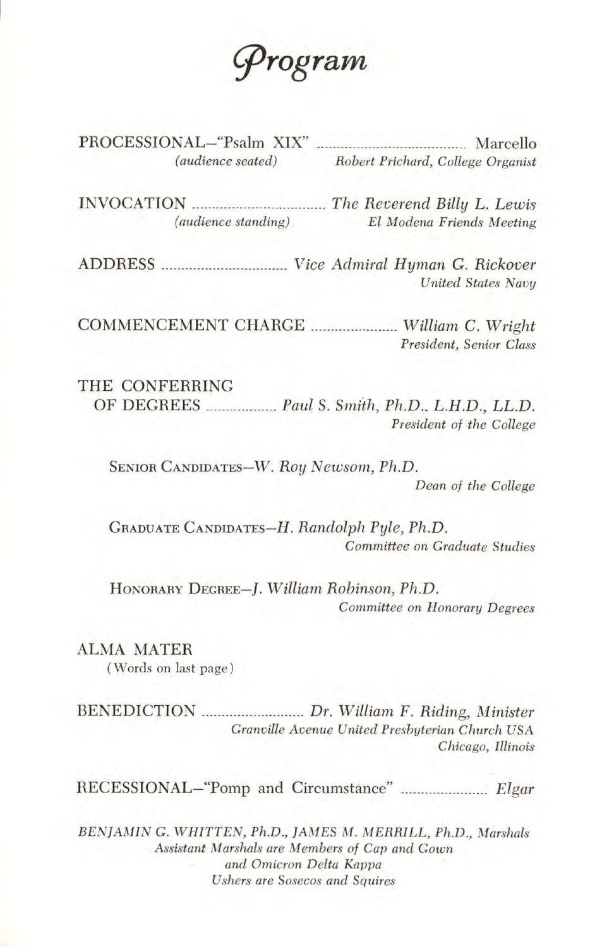

PROCESSIONAL-"Psalm XIX" Marcello (audience seated) Robert Prichard, College Organist

INVOCATION The Reverend Billy L. Lewis (audience standing) El Modena Friends Meeting

ADDRESS Vice Admiral Hyman G. Rickover United States Navy

COMMENCEMENT CHARGE William C. Wright President, Senior Class

THE CONFERRING OF DEGREES .................. Paul S. Smith, Ph.D., L.H.D., LL.D. President of the College

SENIOR CANDIDATES—W. Roy Newsom, Ph.D. Dean of the College

GRADUATE CANDIDATES—H. Randolph Pyle, Ph.D. Committee on Graduate Studies

HONORARY DEGREE—f. William Robinson, Ph.D. Committee on Honorary Degrees

ALMA MATER

(Words on last page)

BENEDICTION **.......................** Dr. William F. Riding, Minister Granville Avenue United Presbyterian Church USA Chicago, Illinois

RECESSIONAL—"Pomp and Circumstance" Elgar

BENJAMIN G. WHITTEN, Ph.D., JAMES M. MERRILL, Ph.D., Marshals Assistant Marshals are Members of Cap and Gown and Omicron Delta Kappa Ushers are Sosecos and Squires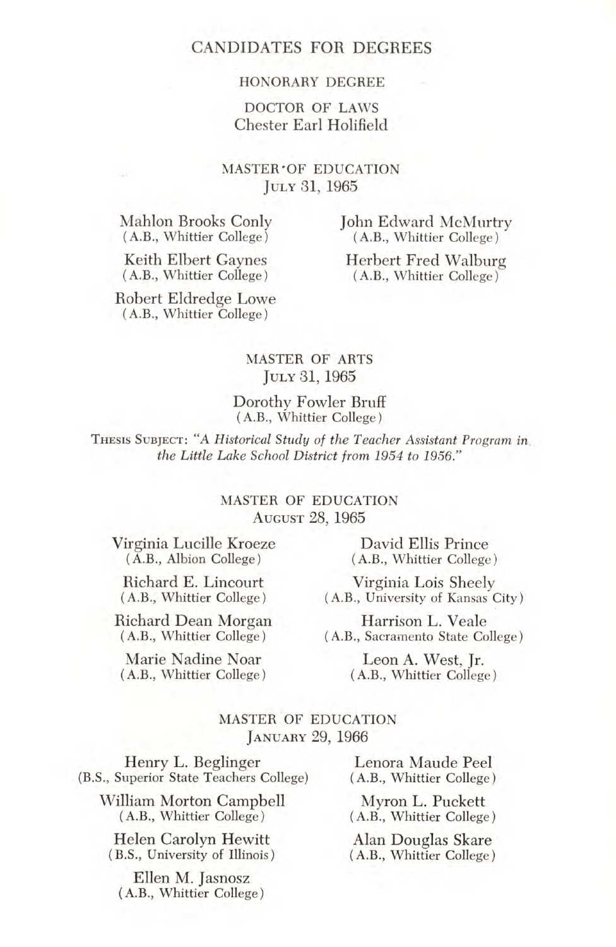#### HONORARY DEGREE

#### DOCTOR OF LAWS Chester Earl Holifield

#### MASTER OF EDUCATION JULY 31, 1965

Mahlon Brooks Conly (A.B., Whittier College)

John Edward McMurtry (A.B., Whittier College)

Keith Elbert Gaynes (A.B., Whittier College) Herbert Fred Walburg (A.B., Whittier College)

Robert Eldredge Lowe (A.B., Whittier College)

#### MASTER OF ARTS JULY 31, 1965

#### Dorothy Fowler Bruff (A.B., Whittier College)

THESIS SUBJECT: "A Historical Study of the Teacher Assistant Program in. the Little Lake School District from 1954 to 1956."

#### MASTER OF EDUCATION AUGUST 28, 1965

Virginia Lucille Kroeze (A.B., Albion College)

Richard E. Lincourt (A.B., Whittier College)

Richard Dean Morgan (A.B., Whittier College)

Marie Nadine Noar (A.B., Whittier College)

David Ellis Prince (A.B., Whittier College)

Virginia Lois Sheely (A.B., University of Kansas City)

Harrison L. Veale (A.B., Sacramento State College)

> Leon A. West, Jr. (A.B., Whittier College)

#### MASTER OF EDUCATION JANUARY 29, 1966

Henry L. Beglinger (B.S., Superior State Teachers College)

William Morton Campbell (A.B., Whittier College)

Helen Carolyn Hewitt (B.S., University of Illinois)

Ellen M. Jasnosz (A.B., Whittier College)

Lenora Maude Peel (A.B., Whittier College)

Myron L. Puckett (A.B., Whittier College)

Alan Douglas Skare (A.B., Whittier College)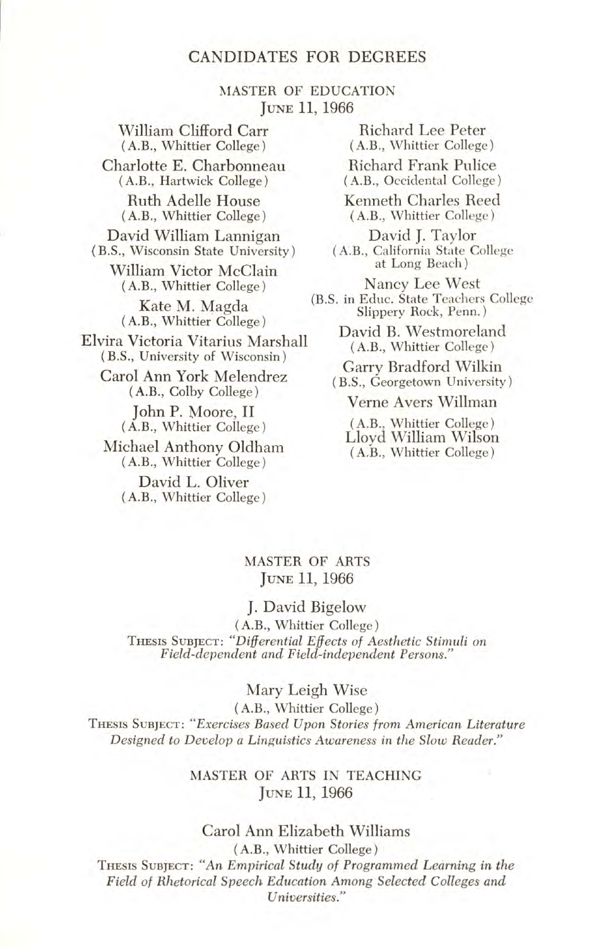MASTER OF EDUCATION JUNE 11, 1966

William Clifford Carr (A.B., Whittier College) Charlotte E. Charbonneau (A.B., Hartwick College) Ruth Adelle House (A.B., Whittier College) David William Lannigan (B.S., Wisconsin State University) William Victor McClain (A.B., Whittier College) Kate M. Magda (A.B., Whittier College) Elvira Victoria Vitarius Marshall (B.S., University of Wisconsin) Carol Ann York Melendrez (A.B., Colby College) John P. Moore, II (A.B., Whittier College)

Michael Anthony Oldham (A.B., Whittier College) David L. Oliver

(A.B., Whittier College)

(B.S in Educ. State Teachers College Richard Lee Peter (A.B., Whittier College) Richard Frank Pulice (A.B., Occidental College) Kenneth Charles Reed (A.B., Whittier College) David J. Taylor (AB., California State College at Long Beach) Nancy Lee West Slippery Rock, Penn.) David B. Westmoreland (A.B., Whittier College) Garry Bradford Wilkin B.S., Georgetown University) Verne Avers Willman

> (A.B., Whittier College) Lloyd William Wilson (A.B., Whittier College)

#### MASTER OF ARTS JUNE 11, 1966

#### J. David Bigelow

(A.B., Whittier College) THESIS SUBJECT: "Differential Effects of Aesthetic Stimuli on Field-dependent and Field-independent Persons."

#### Mary Leigh Wise

(A.B., Whittier College)

THESIS SUBJECT: "Exercises Based Upon Stories from American Literature Designed to Develop a Linguistics Awareness in the Slow Reader."

#### MASTER OF ARTS IN TEACHING JUNE 11, 1966

#### Carol Ann Elizabeth Williams

(A.B., Whittier College)

THESIS SUBJECT: "An Empirical Study of Programmed Learning in the Field of Rhetorical Speech Education Among Selected Colleges and Universities."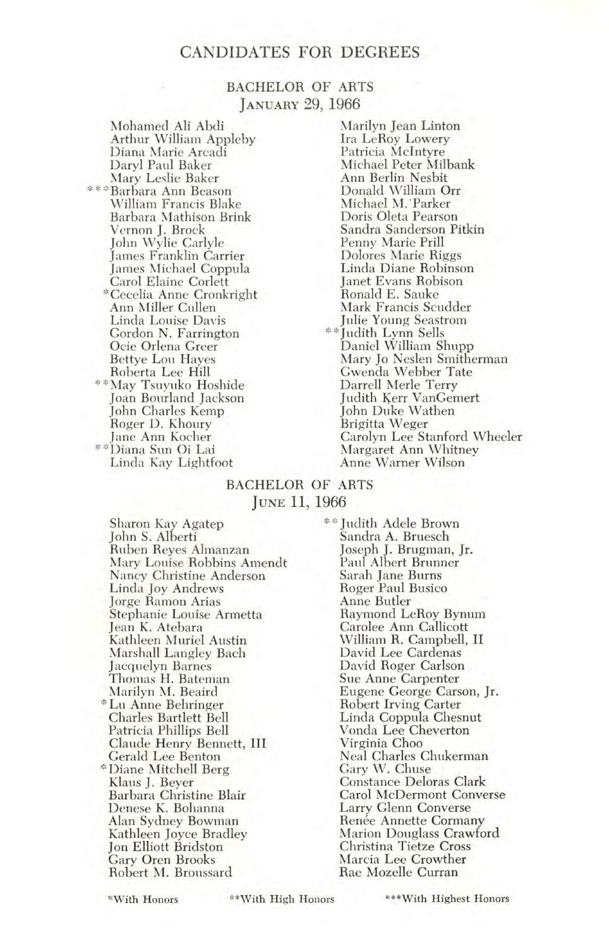#### BACHELOR OF ARTS JANUARY 29, 1966

Mohamed Ali Abdi Arthur William Appleby Diana Marie Arcadi Daryl Paul Baker Mary Leslie Baker \*\*\*Barbara Ann Beason William Francis Blake Barbara Mathison Brink Vernon J. Brock John Wylie Carlyle James Franklin Carrier James Michael Coppula Carol Elaine Corlett \*Cecelia Anne Cronkright Ann Miller Cullen Linda Louise Davis Gordon N. Farrington Ocie Orlena Greer Bettye Lou Hayes Roberta Lee Hill "May May Tsuyuko Hoshide Joan Bourland Jackson John Charles Kemp Roger D. Khoury Jane Ann Kocher "Diana Sun Oi Lai Linda Kay Lightfoot

Marilyn Jean Linton Ira LeRoy Lowery Patricia McIntyre Michael Peter Milbank Ann Berlin Nesbit Donald William Orr Michael M. Parker Doris Oleta Pearson Sandra Sanderson Pitkin Penny Marie Prill Dolores Marie Riggs Linda Diane Robinson Janet Evans Robison Ronald E. Sauke Mark Francis Scudder Julie Young Seastrom \*\*Judith Lynn Sells Daniel William Shupp Mary Jo Neslen Smitherman Gwenda Webber Tate Darrell Merle Terry Judith Kerr VanGemert John Duke Wathen Brigitta Weger Carolyn Lee Stanford Wheeler Margaret Ann Whitney Anne Warner Wilson

#### BACHELOR OF ARTS JUNE 11, 1966

Sharon Kay Agatep John S. Alberti<br>Ruben Reyes Almanzan Mary Louise Robbins Amendt Nancy Christine Anderson Linda Joy Andrews Jorge Ramon Arias Stephanie Louise Armetta Jean K. Atebara Kathleen Muriel Austin Marshall Langley Bach Jacquelyn Barnes Thomas H. Bateman Marilyn M. Beaird \* Lii Anne Behringer Charles Bartlett Bell Patricia Phillips Bell Claude Henry Bennett, III Gerald Lee Benton \*Diane Mitchell Berg Klaus J. Beyer Barbara Christine Blair Denese K. Bohanna Alan Sydney Bowman Kathleen Joyce Bradley Jon Elliott Bridston Gary Oren Brooks Robert M. Broussard

\*\* Judith Adele Brown Sandra A. Bruesch Joseph J. Brugman, Jr. Paul Albert Brunner Sarah Jane Burns Roger Paul Busico Anne Butler Raymond LeRoy Bynum Carolee Ann Callicott William R. Campbell, II David Lee Cardenas David Roger Carlson Sue Anne Carpenter Eugene George Carson, Jr. Robert Irving Carter Linda Coppula Chesnut Vonda Lee Cheverton Virginia Choo Neal Charles Chukerman Gary W. Chuse Constance Deloras Clark Carol McDermont Converse Larry Glenn Converse Renée Annette Cormany Marion Douglass Crawford Christina Tietze Cross Marcia Lee Crowther Rae Mozelle Curran

'With Honors \*\*With High Honors \*\*\*With Highest Honors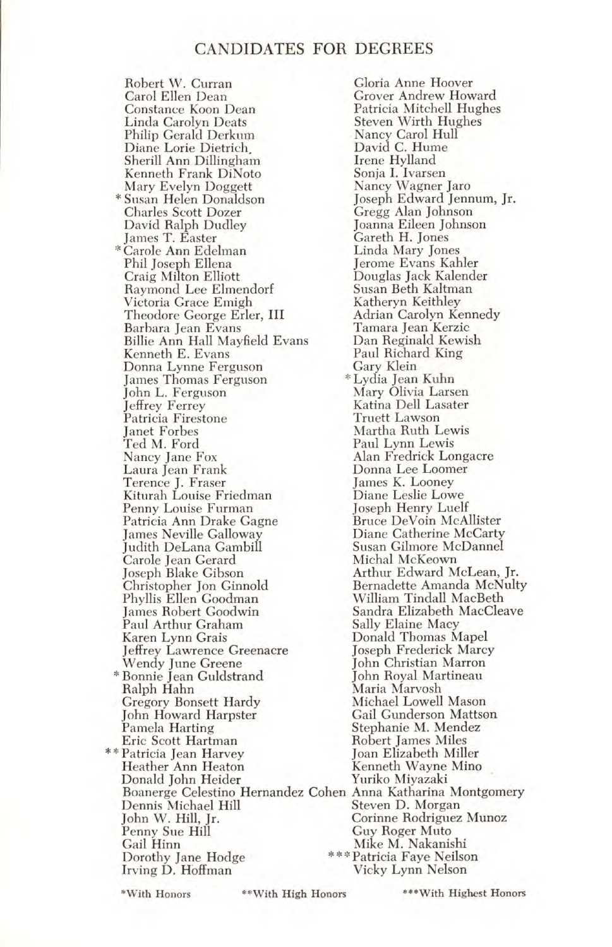Robert W. Curran Gloria Anne Hoover Carol Ellen Dean Grover Andrew Howard<br>Constance Koon Dean Patricia Mitchell Hughes Constance Koon Dean Patricia Mitchell Hughes Philip Gerald Derkum Nancy Carol Hull Diane Lone Dietrich, David C. Hume Sherill Ann Dillingham Irene Hylland Kenneth Frank DiNoto Sonja I. Ivarsen Mary Evelyn Doggett Nancy Wagner Jaro  $*$  Susan Helen Donaldson<br>Charles Scott Dozer David Ralph Dudley Joanna Eileen Johnson James T. Easter Gareth H. Jones Carole Ann Edelman Linda Mary Jones Phil Joseph Ellena<br>Craig Milton Elliott Raymond Lee Elmendorf Susan Beth Kaltman Victoria Grace Emigh Katheryn Keithley Theodore George Erler, III<br>Barbara Jean Evans Billie Ann Hall Mayfield Evans Dan Reginald Kewish Kenneth E. Evans Paul Richard King Donna Lynne Ferguson Gary Klein James Thomas Ferguson<br>John L. Ferguson John L. Ferguson Mary Olivia Larsen Patricia Firestone<br>Ianet Forbes Janet Forbes Martha Ruth Lewis Ted M. Ford Paul Lynn Lewis Nancy Jane Fox Alan Fredrick Longacre Terence J. Fraser James K. Looney Kiturah Louise Friedman Diane Leslie Lowe Penny Louise Furman Joseph Henry Luelf Patricia Ann Drake Gagne Bruce DeVoin McAllister James Neville Galloway Diane Catherine McCarty Judith DeLana Gambill Susan Gilmore McDannel Carole Jean Gerard<br>Joseph Blake Gibson Joseph Blake Gibson Arthur Edward McLean, Jr. Christopher Jon Ginnold Bernadette Amanda McNulty James Robert Goodwin Sandra Elizabeth MacCleave Paul Arthur Graham<br>Karen Lynn Grais Jeffrey Lawrence Greenacre Joseph Frederick Marcy Wendy June Greene John Christian Marron \* Bonnie Jean Guldstrand<br>| Ralph Hahn Gregory Bonsett Hardy Michael Lowell Mason John Howard Harpster<br>Pamela Harting Eric Scott Hartman Robert James Miles \*\* Patricia Jean Harvey Heather Ann Heaton Kenneth Wayne Mino Donald John Heider Boanerge Celestino Hernandez Cohen Anna Katharina Montgomery Dennis Michael Hill<br>John W. Hill, Jr. John W. Hill, Jr. Corinne Rodriguez Munoz Penny Sue Hill Guy Roger Muto Gail Hinn Mike M. Nakanishi<br>Dorothy Jane Hodge \*\*\*Patricia Faye Neilso Irving D. Hoffman

Steven Wirth Hughes<br>Nancy Carol Hull Gregg Alan Johnson<br>Joanna Eileen Johnson Douglas Jack Kalender<br>Susan Beth Kaltman Tamara Jean Kerzic<br>Dan Reginald Kewish Katina Dell Lasater<br>Truett Lawson Donna Lee Loomer<br>James K. Looney William Tindall MacBeth<br>Sandra Elizabeth MacCleave Donald Thomas Mapel<br>Joseph Frederick Marcy Maria Marvosh<br>Michael Lowell Mason Stephanie M. Mendez<br>Robert James Miles \*\*\*Patricia Faye Neilson<br>Vicky Lynn Nelson

\*With Honors "With High Honors \*\*\*With Highest Honors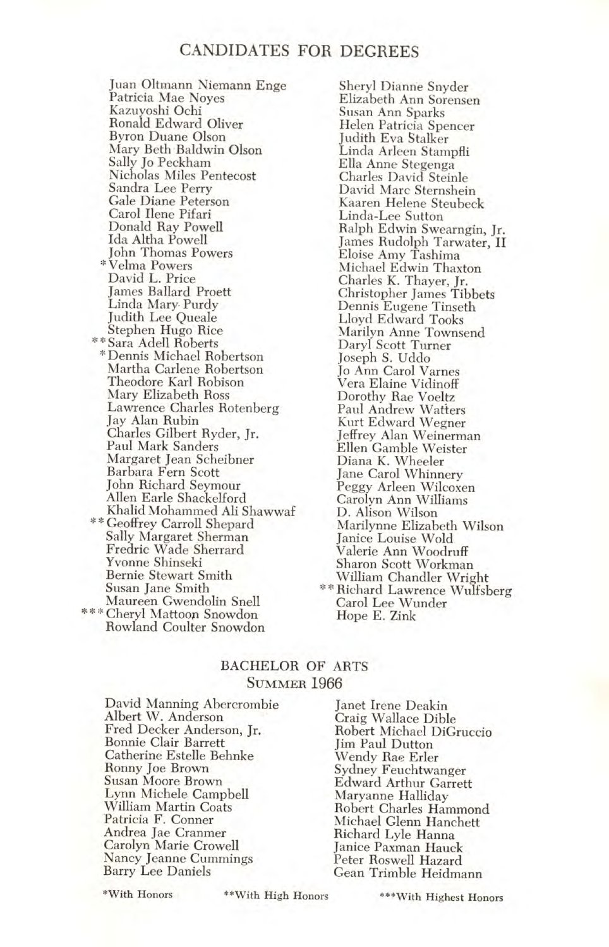Juan Oltmann Niemann Enge Patricia Mae Noyes Kazuyoshi Ochi Ronald Edward Oliver Byron Duane Olson Mary Beth Baldwin Olson Sally Jo Peckham Nicholas Miles Pentecost Sandra Lee Perry Gale Diane Peterson Carol Ilene Pifari Donald Ray Powell Ida Aitha Powell John Thomas Powers Velma Powers David L. Price James Ballard Proett Linda Mary Purdy Judith Lee Queale Stephen Hugo Rice<br>\*\*Sara Adell Roberts \*Dennis Michael Robertson Martha Carlene Robertson Theodore Karl Robison Mary Elizabeth Ross Lawrence Charles Rotenberg Jay Alan Rubin Charles Gilbert Ryder, Jr. Paul Mark Sanders Margaret Jean Scheibner Barbara Fern Scott John Richard Seymour Allen Earle Shackelford \*\* Geoffrey Carroll Shepard Sally Margaret Sherman Fredric Wade Sherrard Yvonne Shinseki Bernie Stewart Smith Susan Jane Smith Maureen Gwendolin Snell \*\*\* Cheryl Mattoon Snowdon Rowland Coulter Snowdon

Sheryl Dianne Snyder Elizabeth Ann Sorensen Susan Ann Sparks Helen Patricia Spencer Judith Eva Stalker Linda Arleen Stampfli Ella Anne Stegenga Charles David Steinle David Marc Sternshein Kaaren Helene Steubeck Linda-Lee Sutton Ralph Edwin Swearngin, Jr. James Rudolph Tarwater, II Eloise Amy Tashima Michael Edwin Thaxton Charles K. Thayer, Jr. Christopher James Tibbets Dennis Eugene Tinseth Lloyd Edward Tooks Marilyn Anne Townsend Daryl Scott Turner Joseph S. Uddo Jo Ann Carol Varnes Vera Elaine Vidinoff Dorothy Rae Voeltz Paul Andrew Wafters Kurt Edward Wegner Jeffrey Alan Weinerman Ellen Gamble Weister Diana K. Wheeler Jane Carol Whinnery Peggy Arleen Wilcoxen Carolyn Ann Williams D. Alison Wilson Marilynne Elizabeth Wilson Janice Louise Wold Valerie Ann Woodruff Sharon Scott Workman William Chandler Wright \* \* Richard Lawrence Wulfsberg Carol Lee Wunder Hope E. Zink

#### BACHELOR OF ARTS SUMMER 1966

David Manning Abercrombie Albert W. Anderson Fred Decker Anderson, Jr. Bonnie Clair Barrett Catherine Estelle Behnke Ronny Joe Brown Susan Moore Brown Lynn Michele Campbell William Martin Coats Patricia F. Conner Andrea Jae Crammer Carolyn Marie Crowell Nancy Jeanne Cummings Barry Lee Daniels

Janet Irene Deakin Craig Wallace Dible Robert Michael DiGruccio Jim Paul Dutton Wendy Rae Erler Sydney Feuchtwanger Edward Arthur Garrett Maryanne Halliday Robert Charles Hammond Michael Glenn Hanchett Richard Lyle Hanna Janice Paxman Hauck Peter Roswell Hazard Gean Trimble Heidmann

\*With Honors "With High Honors

\*\*\*With Highest Honors